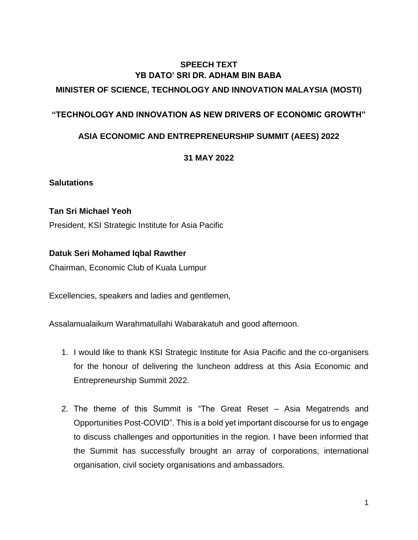# **SPEECH TEXT YB DATO' SRI DR. ADHAM BIN BABA MINISTER OF SCIENCE, TECHNOLOGY AND INNOVATION MALAYSIA (MOSTI)**

## **"TECHNOLOGY AND INNOVATION AS NEW DRIVERS OF ECONOMIC GROWTH"**

## **ASIA ECONOMIC AND ENTREPRENEURSHIP SUMMIT (AEES) 2022**

## **31 MAY 2022**

#### **Salutations**

## **Tan Sri Michael Yeoh**

President, KSI Strategic Institute for Asia Pacific

## **Datuk Seri Mohamed Iqbal Rawther**

Chairman, Economic Club of Kuala Lumpur

Excellencies, speakers and ladies and gentlemen,

Assalamualaikum Warahmatullahi Wabarakatuh and good afternoon.

- 1. I would like to thank KSI Strategic Institute for Asia Pacific and the co-organisers for the honour of delivering the luncheon address at this Asia Economic and Entrepreneurship Summit 2022.
- 2. The theme of this Summit is "The Great Reset Asia Megatrends and Opportunities Post-COVID". This is a bold yet important discourse for us to engage to discuss challenges and opportunities in the region. I have been informed that the Summit has successfully brought an array of corporations, international organisation, civil society organisations and ambassadors.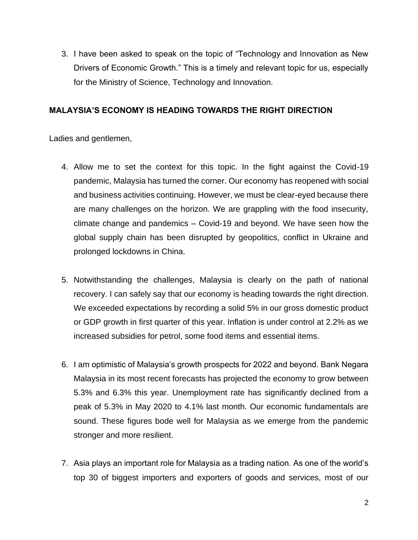3. I have been asked to speak on the topic of "Technology and Innovation as New Drivers of Economic Growth." This is a timely and relevant topic for us, especially for the Ministry of Science, Technology and Innovation.

### **MALAYSIA'S ECONOMY IS HEADING TOWARDS THE RIGHT DIRECTION**

- 4. Allow me to set the context for this topic. In the fight against the Covid-19 pandemic, Malaysia has turned the corner. Our economy has reopened with social and business activities continuing. However, we must be clear-eyed because there are many challenges on the horizon. We are grappling with the food insecurity, climate change and pandemics – Covid-19 and beyond. We have seen how the global supply chain has been disrupted by geopolitics, conflict in Ukraine and prolonged lockdowns in China.
- 5. Notwithstanding the challenges, Malaysia is clearly on the path of national recovery. I can safely say that our economy is heading towards the right direction. We exceeded expectations by recording a solid 5% in our gross domestic product or GDP growth in first quarter of this year. Inflation is under control at 2.2% as we increased subsidies for petrol, some food items and essential items.
- 6. I am optimistic of Malaysia's growth prospects for 2022 and beyond. Bank Negara Malaysia in its most recent forecasts has projected the economy to grow between 5.3% and 6.3% this year. Unemployment rate has significantly declined from a peak of 5.3% in May 2020 to 4.1% last month. Our economic fundamentals are sound. These figures bode well for Malaysia as we emerge from the pandemic stronger and more resilient.
- 7. Asia plays an important role for Malaysia as a trading nation. As one of the world's top 30 of biggest importers and exporters of goods and services, most of our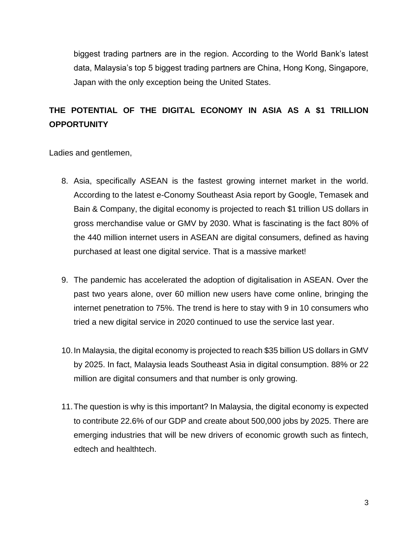biggest trading partners are in the region. According to the World Bank's latest data, Malaysia's top 5 biggest trading partners are China, Hong Kong, Singapore, Japan with the only exception being the United States.

# **THE POTENTIAL OF THE DIGITAL ECONOMY IN ASIA AS A \$1 TRILLION OPPORTUNITY**

- 8. Asia, specifically ASEAN is the fastest growing internet market in the world. According to the latest e-Conomy Southeast Asia report by Google, Temasek and Bain & Company, the digital economy is projected to reach \$1 trillion US dollars in gross merchandise value or GMV by 2030. What is fascinating is the fact 80% of the 440 million internet users in ASEAN are digital consumers, defined as having purchased at least one digital service. That is a massive market!
- 9. The pandemic has accelerated the adoption of digitalisation in ASEAN. Over the past two years alone, over 60 million new users have come online, bringing the internet penetration to 75%. The trend is here to stay with 9 in 10 consumers who tried a new digital service in 2020 continued to use the service last year.
- 10.In Malaysia, the digital economy is projected to reach \$35 billion US dollars in GMV by 2025. In fact, Malaysia leads Southeast Asia in digital consumption. 88% or 22 million are digital consumers and that number is only growing.
- 11.The question is why is this important? In Malaysia, the digital economy is expected to contribute 22.6% of our GDP and create about 500,000 jobs by 2025. There are emerging industries that will be new drivers of economic growth such as fintech, edtech and healthtech.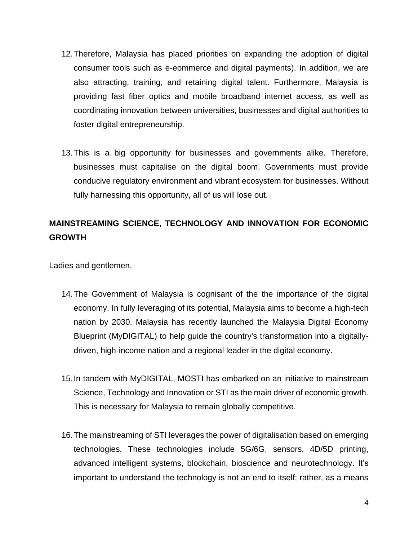- 12.Therefore, Malaysia has placed priorities on expanding the adoption of digital consumer tools such as e-eommerce and digital payments). In addition, we are also attracting, training, and retaining digital talent. Furthermore, Malaysia is providing fast fiber optics and mobile broadband internet access, as well as coordinating innovation between universities, businesses and digital authorities to foster digital entrepreneurship.
- 13.This is a big opportunity for businesses and governments alike. Therefore, businesses must capitalise on the digital boom. Governments must provide conducive regulatory environment and vibrant ecosystem for businesses. Without fully harnessing this opportunity, all of us will lose out.

# **MAINSTREAMING SCIENCE, TECHNOLOGY AND INNOVATION FOR ECONOMIC GROWTH**

- 14.The Government of Malaysia is cognisant of the the importance of the digital economy. In fully leveraging of its potential, Malaysia aims to become a high-tech nation by 2030. Malaysia has recently launched the Malaysia Digital Economy Blueprint (MyDIGITAL) to help guide the country's transformation into a digitallydriven, high-income nation and a regional leader in the digital economy.
- 15.In tandem with MyDIGITAL, MOSTI has embarked on an initiative to mainstream Science, Technology and Innovation or STI as the main driver of economic growth. This is necessary for Malaysia to remain globally competitive.
- 16.The mainstreaming of STI leverages the power of digitalisation based on emerging technologies. These technologies include 5G/6G, sensors, 4D/5D printing, advanced intelligent systems, blockchain, bioscience and neurotechnology. It's important to understand the technology is not an end to itself; rather, as a means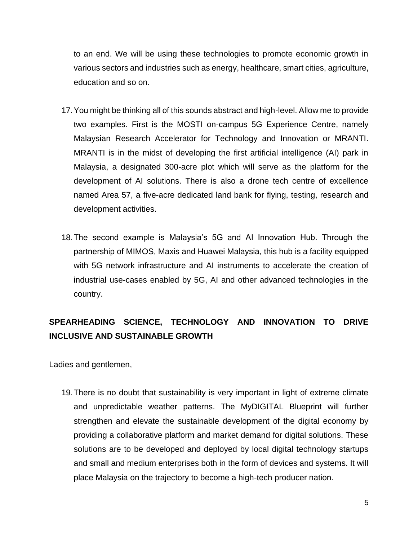to an end. We will be using these technologies to promote economic growth in various sectors and industries such as energy, healthcare, smart cities, agriculture, education and so on.

- 17.You might be thinking all of this sounds abstract and high-level. Allow me to provide two examples. First is the MOSTI on-campus 5G Experience Centre, namely Malaysian Research Accelerator for Technology and Innovation or MRANTI. MRANTI is in the midst of developing the first artificial intelligence (AI) park in Malaysia, a designated 300-acre plot which will serve as the platform for the development of AI solutions. There is also a drone tech centre of excellence named Area 57, a five-acre dedicated land bank for flying, testing, research and development activities.
- 18.The second example is Malaysia's 5G and AI Innovation Hub. Through the partnership of MIMOS, Maxis and Huawei Malaysia, this hub is a facility equipped with 5G network infrastructure and AI instruments to accelerate the creation of industrial use-cases enabled by 5G, AI and other advanced technologies in the country.

# **SPEARHEADING SCIENCE, TECHNOLOGY AND INNOVATION TO DRIVE INCLUSIVE AND SUSTAINABLE GROWTH**

Ladies and gentlemen,

19.There is no doubt that sustainability is very important in light of extreme climate and unpredictable weather patterns. The MyDIGITAL Blueprint will further strengthen and elevate the sustainable development of the digital economy by providing a collaborative platform and market demand for digital solutions. These solutions are to be developed and deployed by local digital technology startups and small and medium enterprises both in the form of devices and systems. It will place Malaysia on the trajectory to become a high-tech producer nation.